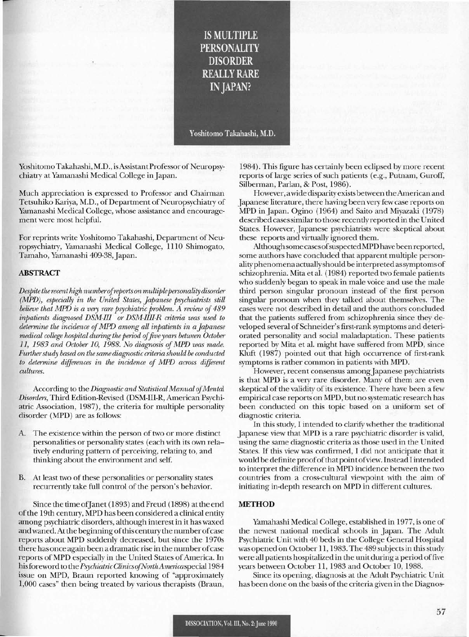**IS MULTIPLE PERSONALITY DISORDER REALLY RARE IN JAPAN?** 

Yoshitomo Takahashi, M.D.

YoshitomoTakahashi, M.D., isAssistantProfessorof Neuropsychiatry at Yamanashi Medical College inJapan.

Much appreciation is expressed to Professor and Chairman Tetsuhiko Kariya, M.D., of Department of Neuropsychiatry of Yamanashi Medical College, whose assistance and encouragement were most helpful.

For reprints write Yoshitomo Takahashi, Department of Neuropsychiatry, Yamanashi Medical College, 1110 Shimogato, Tamaho, Yamanashi 409-38, Japan.

### ABSTRACT

*Despite therecent high numberofreports on multiplepersonality disorder (MPD), especially in the United States, Japanese psychiatrists still believe that MPD is a very rare psychiatric problem. A review of489 inpatients diagnosed DSM-III or DSM-IIII-R criteria was used to determine the incidence ofMPD among all inpatients in aJapanese medical college hospital during the period offive years between October* 11, 1983 *and October 10,* 1988. *No diagnosis ojMPD was* made. *Furtherstudy based on the same diagnostic criteria should be conducted to determine differences in the incidence of MPD across different cultures.*

According to the *Diagnostic and Statistical Manual ofMental Disorders,* Third Edition-Revised (DSM-III-R, American Psychiatric Association, 1987), the criteria for multiple personality disorder (MPD) are as follows:

- A. The existence within the person of two or more distinct personalities or personality states (each with its own relatively enduring pattern of perceiving, relating to, and thinking about the environment and self.
- B. At least two of these personalities or personality states recurrently take full control of the person's behavior.

Since the time of Janet (1893) and Freud (1898) at the end ofthe 19th century, MPD has been considered a clinical entity among psychiatric disorders, although interest in it has waxed and waned. At the beginning of this century the number of case reports about MPD suddenly decreased, but since the 1970s there has once again been a dramatic rise in the numberofcase reports of MPD especially in the United States of America. In hisforeword to the *PsychiatricClinicsofNorthAmerica*special 1984 issue on MPD, Braun reported knowing of "approximately 1,000 cases" then being treated by various therapists (Braun,

1984). This figure has certainly been eclipsed by more recent reports of large series of such patients (e.g., Putnam, Guroff, Silberman, Parlan, & Post, 1986).

However, awide disparity exists between theAmerican and Japanese literature, there having been very few case reports on MPD inJapan. Ogino (1964) and Saito and Miyazaki (1978) described casessimilarto those recently reported in the United States. However, Japanese psychiatrists were skeptical about these reports and virtually ignored them.

Although some cases ofsuspectedMPD have been reported, some authors have concluded that apparent multiple personalityphenomenaactuallyshould be interpreted assymptoms of schizophrenia. Mita et al. (1984) reported two female patients who suddenly began to speak in male voice and use the male third person singular pronoun instead of the first person singular pronoun when they talked about themselves. The cases were not described in detail and the authors concluded that the patients suffered from schizophrenia since they developed several of Schneider's first-rank symptoms and deteriorated personality and social maladaptation. These patients reported by Mita et al. might have suffered from MPD, since Kluft (1987) pointed out that high occurrence of first-rank symptoms is rather common in patients with MPD.

However, recent consensus among Japanese psychiatrists is that MPD is a very rare disorder. Many of them are even skeptical of the validity of its existence. There have been a few empirical case reports on MPD, butno systematic research has been conducted on this topic based on a uniform set of diagnostic criteria.

In this study, I intended to clarify whether the traditional Japanese view that MPD is a rare psychiatric disorder is valid, using the same diagnostic criteria as those used in the United States. If this view was confirmed, I did not anticipate that it would be definite proof of that point of view. Instead I intended to interpret the difference in MPD incidence between the two countries from a cross-eultural viewpoint with the aim of initiating in-depth research on MPD in different cultures.

# **METHOD**

Yamahashi Medical College, established in 1977, is one of the newest national medical schools in Japan. The Adult Psychiatric Unit with 40 beds in the College General Hospital was opened on October 11, 1983. The 489 subjects in this study were all patients hospitalized in the unit during a period offive years between October 11,1983 and October 10,1988.

Since its opening, diagnosis at the Adult Psychiatric Unit has been done on the basis of the criteria given in the Diagnos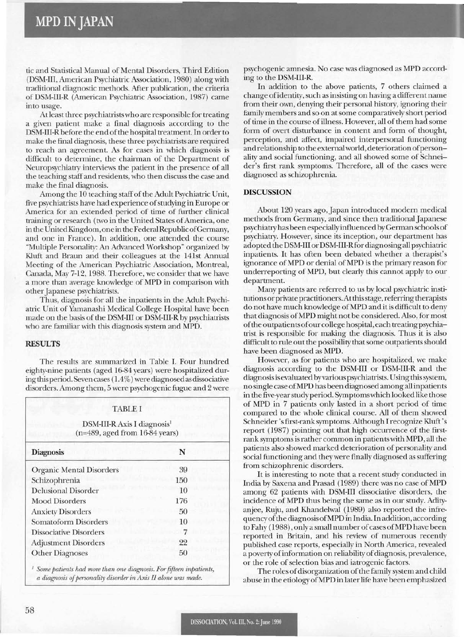tic and Statistical Manual of Mental Disorders, Third Edition (DSM-III, American Psychiatric Association, 1980) along with traditional diagnostic methods. After publication, the criteria of DSM-III-R (American Psychiatric Association, 1987) came into usage.

Atleast three psychiatristswho are responsible for treating a given patient make a final diagnosis according to the DSM-III-R before the end of the hospital treatment. In order to make the final diagnosis, these three psychiatrists are required to reach an agreement. As for cases in which diagnosis is difficult to determine, the chairman of the Department of Neuropsychiatry interviews the patient in the presence of all the teaching staffand residents, who then discuss the case and make the final diagnosis.

Among the 10 teaching staff of the Adult Psychiatric Unit, five psychiatrists have had experience ofstudying in Europe or America for an extended period of time of further clinical training or research (two in the United States of America, one in the United Kingdom, one in the Federal Republic of Germany, and one in France). In addition, one attended the course "Multiple Personality: An Advanced Workshop" organized by Kluft and Braun and their colleagues at the 141st Annual Meeting of the American Psychiatric Association, Montreal, Canada, May 7-12,1988. Therefore, we consider that we have a more than average knowledge of MPD in comparison with other Japanese psychiatrists.

Thus, diagnosis for all the inpatients in the Adult Psychiatric Unit of Yamanashi Medical College Hospital have been made on the basis of the DSM-III or DSM-III-R by psychiatrists who are familiar with this diagnosis system and MPD.

## RESULTS

The results are summarized in Table 1. Four hundred eighty-nine patients (aged 16-84 years) were hospitalized during thisperiod. Seven cases (1.4%) were diagnosed as dissociative disorders. Among them, 5 were psychogenic fugue and 2 were

### TABLE I

DSM-III-R Axis I diagnosis<sup>1</sup> (n=489, aged from 16-84 years)

| <b>Diagnosis</b>                | N   |  |
|---------------------------------|-----|--|
| <b>Organic Mental Disorders</b> | 39  |  |
| Schizophrenia                   | 150 |  |
| <b>Delusional Disorder</b>      | 10  |  |
| <b>Mood Disorders</b>           | 176 |  |
| <b>Anxiety Disorders</b>        | 50  |  |
| <b>Somatoform Disorders</b>     | 10  |  |
| <b>Dissociative Disorders</b>   |     |  |
| <b>Adjustment Disorders</b>     | 22  |  |
| <b>Other Diagnoses</b>          | 50  |  |
|                                 |     |  |

<sup>J</sup> *Some patients* had *more than one diagnosis. Forfifteen inpatients, a diagnosis ofpersonality disorder in Axis II alone was made.*

psychogenic amnesia. No case was diagnosed as MPD according to the DSM-III-R.

In addition to the above patients, 7 others claimed a change ofidentity, such asinsisting on having a different name from their own, denying their personal history, ignoring their family members and so on atsome comparatively short period of time in the course of illness. However, all of them had some form of overt disturbance in content and form of thought, perception, and affect, impaired interpersonal functioning and relationship to the externalworld, deterioration ofpersonality and social functioning, and all showed some of Schneider's first rank symptoms. Therefore, all of the cases were diagnosed as schizophrenia.

#### DISCUSSION

About 120 years ago, Japan introduced modern medical methods from Germany, and since then traditional Japanese psychiatry has been especiallyinfluenced byGerman schools of psychiatry. However, since its inception, our department has adopted the DSM-III orDSM-III-Rfor diagnosing all psychiatric inpatients. It has often been debated whether a therapist's ignorance ofMPD or denial ofMPD is the primary reason for underreporting of MPD, but clearly this cannot apply to our department.

Many patients are referred to us by local psychiatric institutions or private practitioners. At this stage, referring therapists do not have much knowledge ofMPD and it is difficult to deny that diagnosis ofMPD might not be considered. Also, for most ofthe outpatients ofourcollege hospital, each treatingpsychiatrist is responsible for making the diagnosis. Thus it is also difficult to rule out the possibility that some outpatients should have been diagnosed as MPD.

However, as for patients who are hospitalized, we make diagnosis according to the DSM-III or DSM-III-R and the diagnosisis evaluated byvarious psychiatrists. Using thissystem, no single case ofMPD has been diagnosed among all inpatients in the five-yearstudy period. Symptomswhich looked like those of MPD in 7 patients only lasted in a short period of time compared to the whole clinical course. All of them showed Schneider'sfirst-rank symptoms. Although I recognize Kluft 's report (1987) pointing out that high occurrence of the firstrank symptomsis rather common in patientswith MPD, all the patients also showed marked deterioration of personality and social functioning and they were finally diagnosed as suffering from schizophrenic disorders.

It is interesting to note that a recent study conducted in India by Saxena and Prasad (1989) there was no case of MPD among 62 patients with DSM-III dissociative disorders, the incidence of MPD thus being the same as in our study. Adityanjee, Ruju, and Khandelwal (1989) also reported the infrequencyofthe diagnosis ofMPD In India. In addition, according to Fahy (1988), only a small number of cases of MPD have been reported in Britain, and his review of numerous recently published case reports, especially in North America, revealed a poverty of information on reliability of diagnosis, prevalence, or the role of selection bias and iatrogenic factors.

The roles of disorganization of the family system and child abuse in the etiology ofMPD in laterlife have been emphasized